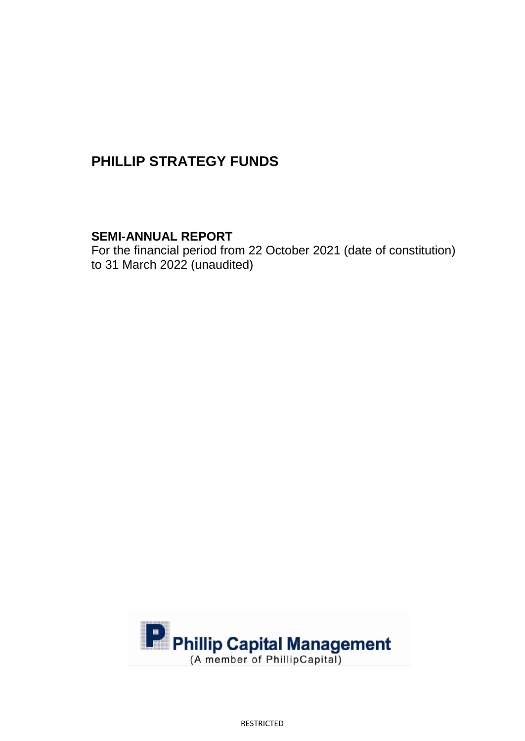# **SEMI-ANNUAL REPORT**

For the financial period from 22 October 2021 (date of constitution) to 31 March 2022 (unaudited)



RESTRICTED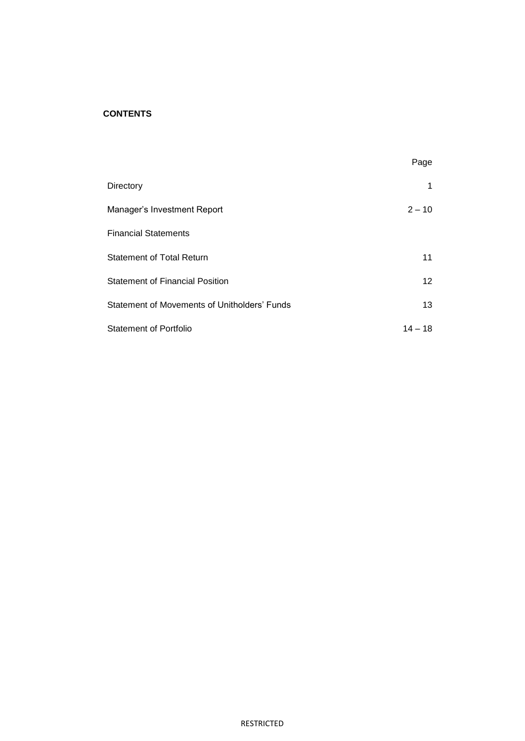### **CONTENTS**

|                                              | Page            |
|----------------------------------------------|-----------------|
| Directory                                    |                 |
| Manager's Investment Report                  | $2 - 10$        |
| <b>Financial Statements</b>                  |                 |
| <b>Statement of Total Return</b>             | 11              |
| <b>Statement of Financial Position</b>       | 12 <sup>2</sup> |
| Statement of Movements of Unitholders' Funds | 13              |
| <b>Statement of Portfolio</b>                | $14 - 18$       |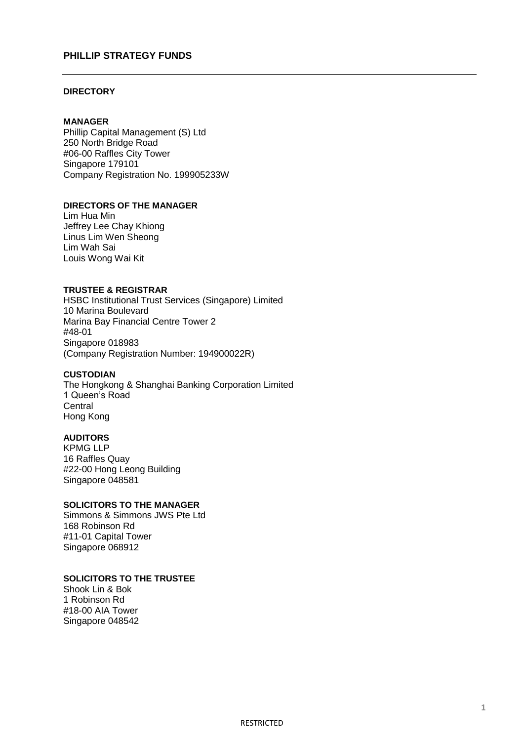#### **DIRECTORY**

#### **MANAGER**

Phillip Capital Management (S) Ltd 250 North Bridge Road #06-00 Raffles City Tower Singapore 179101 Company Registration No. 199905233W

#### **DIRECTORS OF THE MANAGER**

Lim Hua Min Jeffrey Lee Chay Khiong Linus Lim Wen Sheong Lim Wah Sai Louis Wong Wai Kit

#### **TRUSTEE & REGISTRAR**

HSBC Institutional Trust Services (Singapore) Limited 10 Marina Boulevard Marina Bay Financial Centre Tower 2 #48-01 Singapore 018983 (Company Registration Number: 194900022R)

#### **CUSTODIAN**

The Hongkong & Shanghai Banking Corporation Limited 1 Queen's Road **Central** Hong Kong

#### **AUDITORS**

KPMG LLP 16 Raffles Quay #22-00 Hong Leong Building Singapore 048581

### **SOLICITORS TO THE MANAGER**

Simmons & Simmons JWS Pte Ltd 168 Robinson Rd #11-01 Capital Tower Singapore 068912

### **SOLICITORS TO THE TRUSTEE**

Shook Lin & Bok 1 Robinson Rd #18-00 AIA Tower Singapore 048542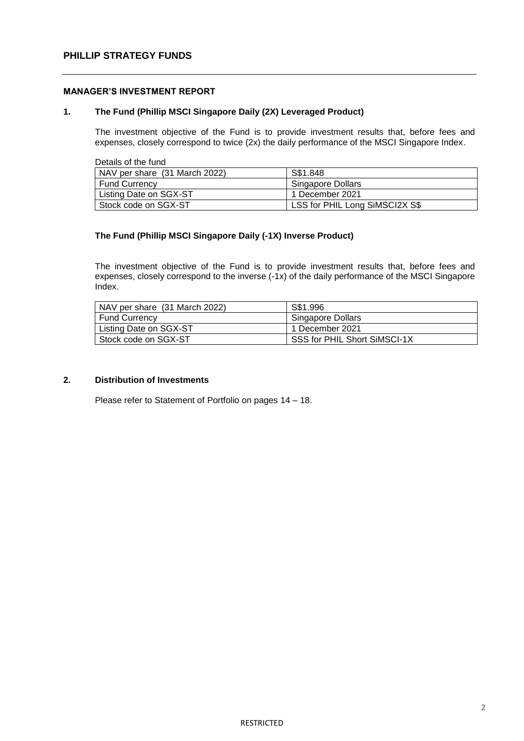#### **MANAGER'S INVESTMENT REPORT**

#### **1. The Fund (Phillip MSCI Singapore Daily (2X) Leveraged Product)**

The investment objective of the Fund is to provide investment results that, before fees and expenses, closely correspond to twice (2x) the daily performance of the MSCI Singapore Index.

Details of the fund

| NAV per share (31 March 2022) | S\$1.848                       |
|-------------------------------|--------------------------------|
| Fund Currency                 | Singapore Dollars              |
| Listing Date on SGX-ST        | 1 December 2021                |
| Stock code on SGX-ST          | LSS for PHIL Long SiMSCI2X S\$ |

#### **The Fund (Phillip MSCI Singapore Daily (-1X) Inverse Product)**

The investment objective of the Fund is to provide investment results that, before fees and expenses, closely correspond to the inverse (-1x) of the daily performance of the MSCI Singapore Index.

| NAV per share (31 March 2022) | S\$1.996                     |
|-------------------------------|------------------------------|
| Fund Currency                 | Singapore Dollars            |
| Listing Date on SGX-ST        | 1 December 2021              |
| l Stock code on SGX-ST        | SSS for PHIL Short SiMSCI-1X |

#### **2. Distribution of Investments**

Please refer to Statement of Portfolio on pages 14 – 18.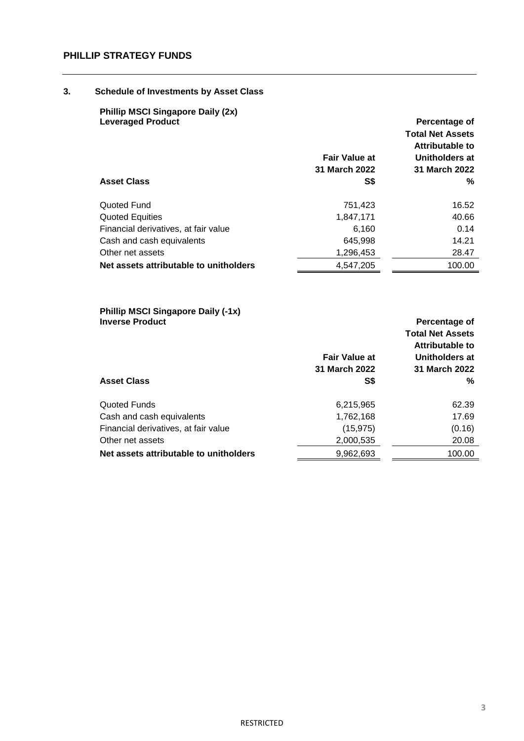#### **3. Schedule of Investments by Asset Class**

| <b>Phillip MSCI Singapore Daily (2x)</b><br><b>Leveraged Product</b><br><b>Asset Class</b> | <b>Fair Value at</b><br>31 March 2022<br>S\$ | Percentage of<br><b>Total Net Assets</b><br>Attributable to<br>Unitholders at<br>31 March 2022<br>% |
|--------------------------------------------------------------------------------------------|----------------------------------------------|-----------------------------------------------------------------------------------------------------|
| Quoted Fund                                                                                | 751,423                                      | 16.52                                                                                               |
| <b>Quoted Equities</b>                                                                     | 1,847,171                                    | 40.66                                                                                               |
| Financial derivatives, at fair value                                                       | 6,160                                        | 0.14                                                                                                |
| Cash and cash equivalents                                                                  | 645,998                                      | 14.21                                                                                               |
| Other net assets                                                                           | 1,296,453                                    | 28.47                                                                                               |
| Net assets attributable to unitholders                                                     | 4,547,205                                    | 100.00                                                                                              |

#### **Phillip MSCI Singapore Daily (-1x) Inverse Product Percentage of**

|                                        |                      | <b>Total Net Assets</b> |
|----------------------------------------|----------------------|-------------------------|
|                                        |                      | Attributable to         |
|                                        | <b>Fair Value at</b> | Unitholders at          |
|                                        | 31 March 2022        | 31 March 2022           |
| <b>Asset Class</b>                     | S\$                  | %                       |
| Quoted Funds                           | 6,215,965            | 62.39                   |
| Cash and cash equivalents              | 1,762,168            | 17.69                   |
| Financial derivatives, at fair value   | (15, 975)            | (0.16)                  |
| Other net assets                       | 2,000,535            | 20.08                   |
| Net assets attributable to unitholders | 9,962,693            | 100.00                  |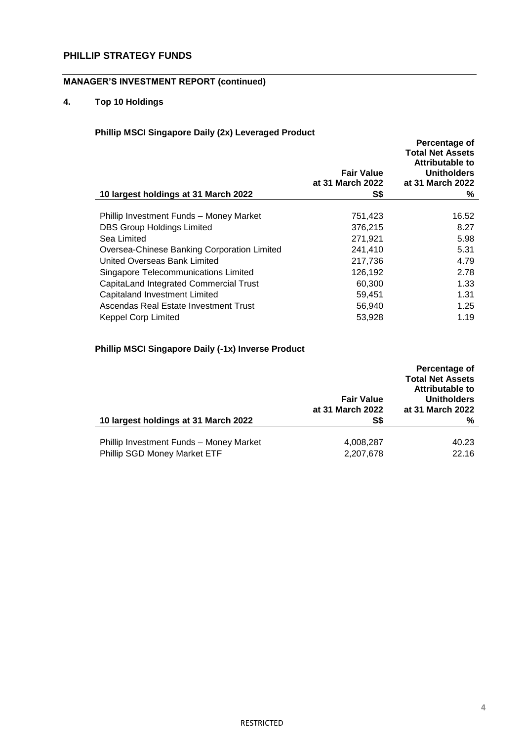# **MANAGER'S INVESTMENT REPORT (continued)**

## **4. Top 10 Holdings**

# **Phillip MSCI Singapore Daily (2x) Leveraged Product**

| $\sim$ map moor omgapore bany (28) Ectoraged Froudor<br>10 largest holdings at 31 March 2022 | <b>Fair Value</b><br>at 31 March 2022<br>S\$ | Percentage of<br><b>Total Net Assets</b><br>Attributable to<br><b>Unitholders</b><br>at 31 March 2022<br>% |
|----------------------------------------------------------------------------------------------|----------------------------------------------|------------------------------------------------------------------------------------------------------------|
|                                                                                              |                                              |                                                                                                            |
| Phillip Investment Funds - Money Market                                                      | 751,423                                      | 16.52                                                                                                      |
| <b>DBS Group Holdings Limited</b>                                                            | 376,215                                      | 8.27                                                                                                       |
| Sea Limited                                                                                  | 271,921                                      | 5.98                                                                                                       |
| Oversea-Chinese Banking Corporation Limited                                                  | 241,410                                      | 5.31                                                                                                       |
| United Overseas Bank Limited                                                                 | 217,736                                      | 4.79                                                                                                       |
| Singapore Telecommunications Limited                                                         | 126,192                                      | 2.78                                                                                                       |
| CapitaLand Integrated Commercial Trust                                                       | 60,300                                       | 1.33                                                                                                       |
| <b>Capitaland Investment Limited</b>                                                         | 59,451                                       | 1.31                                                                                                       |
| Ascendas Real Estate Investment Trust                                                        | 56,940                                       | 1.25                                                                                                       |
| <b>Keppel Corp Limited</b>                                                                   | 53.928                                       | 1.19                                                                                                       |

# **Phillip MSCI Singapore Daily (-1x) Inverse Product**

|                                                                         | <b>Fair Value</b><br>at 31 March 2022 | Percentage of<br><b>Total Net Assets</b><br>Attributable to<br><b>Unitholders</b><br>at 31 March 2022 |
|-------------------------------------------------------------------------|---------------------------------------|-------------------------------------------------------------------------------------------------------|
| 10 largest holdings at 31 March 2022                                    | S\$                                   | ℅                                                                                                     |
| Phillip Investment Funds - Money Market<br>Phillip SGD Money Market ETF | 4,008,287<br>2,207,678                | 40.23<br>22.16                                                                                        |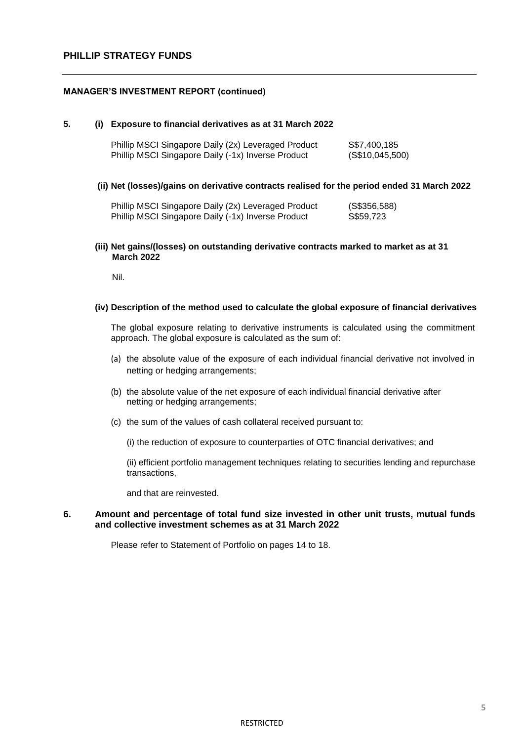#### **MANAGER'S INVESTMENT REPORT (continued)**

#### **5. (i) Exposure to financial derivatives as at 31 March 2022**

| Phillip MSCI Singapore Daily (2x) Leveraged Product | S\$7,400,185    |
|-----------------------------------------------------|-----------------|
| Phillip MSCI Singapore Daily (-1x) Inverse Product  | (S\$10,045,500) |

#### **(ii) Net (losses)/gains on derivative contracts realised for the period ended 31 March 2022**

| Phillip MSCI Singapore Daily (2x) Leveraged Product | (S\$356,588) |
|-----------------------------------------------------|--------------|
| Phillip MSCI Singapore Daily (-1x) Inverse Product  | S\$59,723    |

**(iii) Net gains/(losses) on outstanding derivative contracts marked to market as at 31 March 2022**

Nil.

#### **(iv) Description of the method used to calculate the global exposure of financial derivatives**

The global exposure relating to derivative instruments is calculated using the commitment approach. The global exposure is calculated as the sum of:

- (a) the absolute value of the exposure of each individual financial derivative not involved in netting or hedging arrangements;
- (b) the absolute value of the net exposure of each individual financial derivative after netting or hedging arrangements;
- (c) the sum of the values of cash collateral received pursuant to:
	- (i) the reduction of exposure to counterparties of OTC financial derivatives; and

(ii) efficient portfolio management techniques relating to securities lending and repurchase transactions,

and that are reinvested.

#### **6. Amount and percentage of total fund size invested in other unit trusts, mutual funds and collective investment schemes as at 31 March 2022**

Please refer to Statement of Portfolio on pages 14 to 18.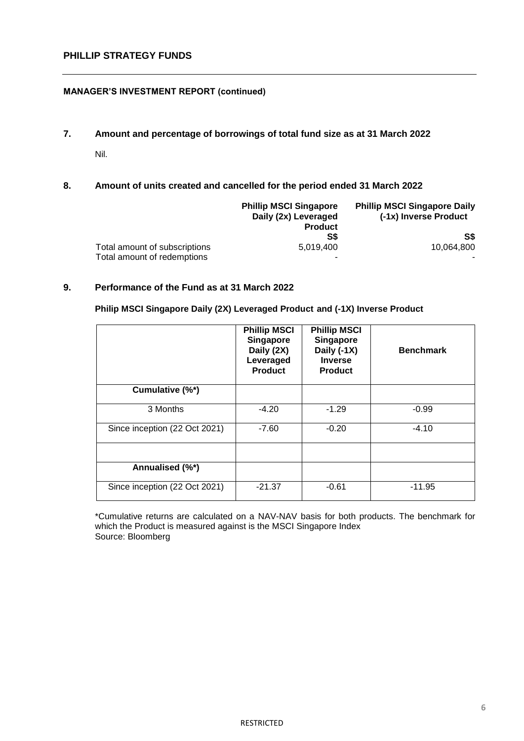#### **MANAGER'S INVESTMENT REPORT (continued)**

**7. Amount and percentage of borrowings of total fund size as at 31 March 2022**

Nil.

### **8. Amount of units created and cancelled for the period ended 31 March 2022**

|                               | <b>Phillip MSCI Singapore</b><br>Daily (2x) Leveraged<br><b>Product</b> | <b>Phillip MSCI Singapore Daily</b><br>(-1x) Inverse Product |
|-------------------------------|-------------------------------------------------------------------------|--------------------------------------------------------------|
|                               | S\$                                                                     | S\$                                                          |
| Total amount of subscriptions | 5.019.400                                                               | 10.064.800                                                   |
| Total amount of redemptions   | -                                                                       |                                                              |

### **9. Performance of the Fund as at 31 March 2022**

#### **Philip MSCI Singapore Daily (2X) Leveraged Product and (-1X) Inverse Product**

|                               | <b>Phillip MSCI</b><br>Singapore<br>Daily (2X)<br>Leveraged<br><b>Product</b> | <b>Phillip MSCI</b><br><b>Singapore</b><br>Daily (-1X)<br><b>Inverse</b><br><b>Product</b> | <b>Benchmark</b> |
|-------------------------------|-------------------------------------------------------------------------------|--------------------------------------------------------------------------------------------|------------------|
| Cumulative (%*)               |                                                                               |                                                                                            |                  |
| 3 Months                      | $-4.20$                                                                       | $-1.29$                                                                                    | $-0.99$          |
| Since inception (22 Oct 2021) | $-7.60$                                                                       | $-0.20$                                                                                    | $-4.10$          |
|                               |                                                                               |                                                                                            |                  |
| Annualised (%*)               |                                                                               |                                                                                            |                  |
| Since inception (22 Oct 2021) | $-21.37$                                                                      | $-0.61$                                                                                    | $-11.95$         |

\*Cumulative returns are calculated on a NAV-NAV basis for both products. The benchmark for which the Product is measured against is the MSCI Singapore Index Source: Bloomberg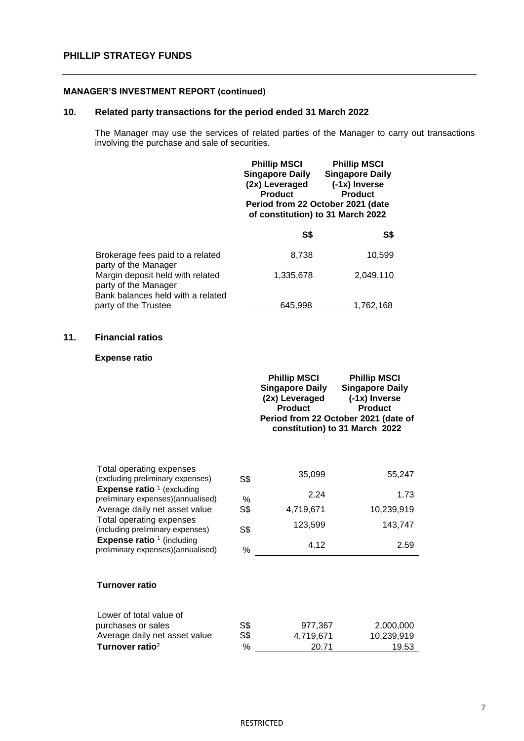#### **MANAGER'S INVESTMENT REPORT (continued)**

# **10. Related party transactions for the period ended 31 March 2022**

The Manager may use the services of related parties of the Manager to carry out transactions involving the purchase and sale of securities.

|                                                                                               | <b>Phillip MSCI</b><br><b>Singapore Daily</b><br>(2x) Leveraged<br><b>Product</b><br>Period from 22 October 2021 (date<br>of constitution) to 31 March 2022 | <b>Phillip MSCI</b><br><b>Singapore Daily</b><br>(-1x) Inverse<br><b>Product</b> |
|-----------------------------------------------------------------------------------------------|-------------------------------------------------------------------------------------------------------------------------------------------------------------|----------------------------------------------------------------------------------|
|                                                                                               | S\$                                                                                                                                                         | S\$                                                                              |
| Brokerage fees paid to a related<br>party of the Manager                                      | 8,738                                                                                                                                                       | 10,599                                                                           |
| Margin deposit held with related<br>party of the Manager<br>Bank balances held with a related | 1.335.678                                                                                                                                                   | 2,049,110                                                                        |
| party of the Trustee                                                                          | 645.998                                                                                                                                                     | 1,762,168                                                                        |

### **11. Financial ratios**

#### **Expense ratio**

|                                                                                   |                | <b>Phillip MSCI</b><br><b>Singapore Daily</b><br>(2x) Leveraged<br><b>Product</b> | <b>Phillip MSCI</b><br><b>Singapore Daily</b><br>(-1x) Inverse<br><b>Product</b><br>Period from 22 October 2021 (date of<br>constitution) to 31 March 2022 |
|-----------------------------------------------------------------------------------|----------------|-----------------------------------------------------------------------------------|------------------------------------------------------------------------------------------------------------------------------------------------------------|
| Total operating expenses<br>(excluding preliminary expenses)                      | S\$            | 35,099                                                                            | 55,247                                                                                                                                                     |
| <b>Expense ratio</b> $1$ (excluding<br>preliminary expenses)(annualised)          | $\%$           | 2.24                                                                              | 1.73                                                                                                                                                       |
| Average daily net asset value                                                     | S <sub>3</sub> | 4,719,671                                                                         | 10,239,919                                                                                                                                                 |
| Total operating expenses<br>(including preliminary expenses)                      | S\$            | 123,599                                                                           | 143,747                                                                                                                                                    |
| <b>Expense ratio</b> <sup>1</sup> (including<br>preliminary expenses)(annualised) | $\%$           | 4.12                                                                              | 2.59                                                                                                                                                       |
| <b>Turnover ratio</b>                                                             |                |                                                                                   |                                                                                                                                                            |
| Lower of total value of                                                           |                |                                                                                   |                                                                                                                                                            |
| purchases or sales                                                                | S <sub>3</sub> | 977,367                                                                           | 2,000,000                                                                                                                                                  |
| Average daily net asset value<br>Turnover ratio <sup>2</sup>                      | S\$<br>$\%$    | 4,719,671<br>20.71                                                                | 10,239,919<br>19.53                                                                                                                                        |
|                                                                                   |                |                                                                                   |                                                                                                                                                            |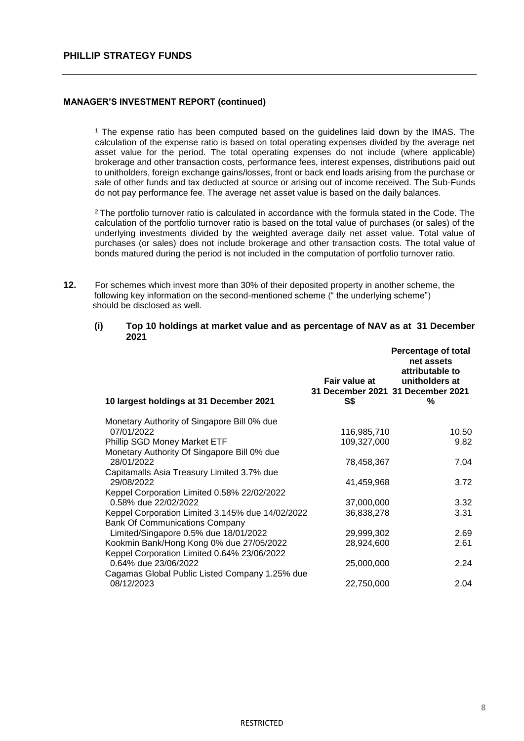#### **MANAGER'S INVESTMENT REPORT (continued)**

<sup>1</sup> The expense ratio has been computed based on the guidelines laid down by the IMAS. The calculation of the expense ratio is based on total operating expenses divided by the average net asset value for the period. The total operating expenses do not include (where applicable) brokerage and other transaction costs, performance fees, interest expenses, distributions paid out to unitholders, foreign exchange gains/losses, front or back end loads arising from the purchase or sale of other funds and tax deducted at source or arising out of income received. The Sub-Funds do not pay performance fee. The average net asset value is based on the daily balances.

<sup>2</sup> The portfolio turnover ratio is calculated in accordance with the formula stated in the Code. The calculation of the portfolio turnover ratio is based on the total value of purchases (or sales) of the underlying investments divided by the weighted average daily net asset value. Total value of purchases (or sales) does not include brokerage and other transaction costs. The total value of bonds matured during the period is not included in the computation of portfolio turnover ratio.

**12.** For schemes which invest more than 30% of their deposited property in another scheme, the following key information on the second-mentioned scheme (" the underlying scheme") should be disclosed as well.

| (i) | Top 10 holdings at market value and as percentage of NAV as at 31 December |
|-----|----------------------------------------------------------------------------|
|     | 2021                                                                       |

| 10 largest holdings at 31 December 2021                   | Fair value at<br>31 December 2021 31 December 2021<br>S\$ | <b>Percentage of total</b><br>net assets<br>attributable to<br>unitholders at<br>% |
|-----------------------------------------------------------|-----------------------------------------------------------|------------------------------------------------------------------------------------|
| Monetary Authority of Singapore Bill 0% due               |                                                           |                                                                                    |
| 07/01/2022                                                | 116,985,710                                               | 10.50                                                                              |
| Phillip SGD Money Market ETF                              | 109,327,000                                               | 9.82                                                                               |
| Monetary Authority Of Singapore Bill 0% due<br>28/01/2022 | 78,458,367                                                | 7.04                                                                               |
| Capitamalls Asia Treasury Limited 3.7% due<br>29/08/2022  | 41,459,968                                                | 3.72                                                                               |
| Keppel Corporation Limited 0.58% 22/02/2022               |                                                           |                                                                                    |
| 0.58% due 22/02/2022                                      | 37,000,000                                                | 3.32                                                                               |
| Keppel Corporation Limited 3.145% due 14/02/2022          | 36,838,278                                                | 3.31                                                                               |
| <b>Bank Of Communications Company</b>                     |                                                           |                                                                                    |
| Limited/Singapore 0.5% due 18/01/2022                     | 29,999,302                                                | 2.69                                                                               |
| Kookmin Bank/Hong Kong 0% due 27/05/2022                  | 28,924,600                                                | 2.61                                                                               |
| Keppel Corporation Limited 0.64% 23/06/2022               |                                                           |                                                                                    |
| 0.64% due 23/06/2022                                      | 25,000,000                                                | 2.24                                                                               |
| Cagamas Global Public Listed Company 1.25% due            |                                                           |                                                                                    |
| 08/12/2023                                                | 22,750,000                                                | 2.04                                                                               |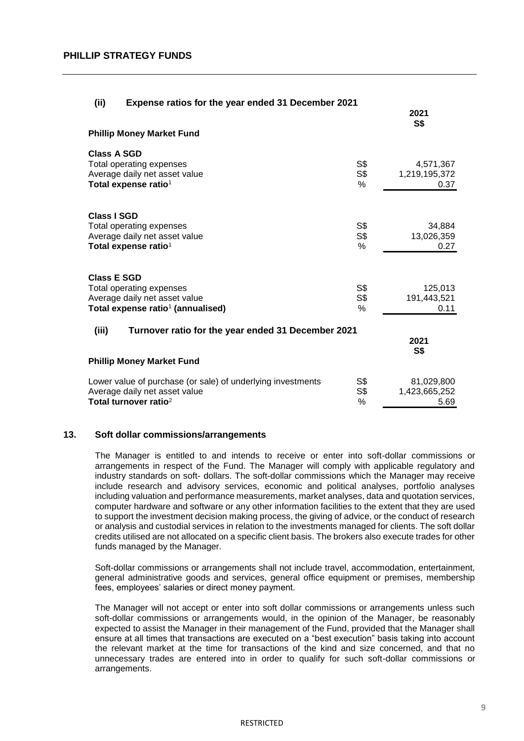| (ii)<br>Expense ratios for the year ended 31 December 2021        |                |                      |
|-------------------------------------------------------------------|----------------|----------------------|
|                                                                   |                | 2021<br><b>S\$</b>   |
| <b>Phillip Money Market Fund</b>                                  |                |                      |
| <b>Class A SGD</b>                                                |                |                      |
| Total operating expenses                                          | S <sub>3</sub> | 4,571,367            |
| Average daily net asset value<br>Total expense ratio <sup>1</sup> | S\$<br>$\%$    | 1,219,195,372        |
|                                                                   |                | 0.37                 |
|                                                                   |                |                      |
| <b>Class I SGD</b>                                                | S\$            |                      |
| Total operating expenses<br>Average daily net asset value         | S\$            | 34,884<br>13,026,359 |
| Total expense ratio <sup>1</sup>                                  | $\%$           | 0.27                 |
|                                                                   |                |                      |
| <b>Class E SGD</b>                                                |                |                      |
| Total operating expenses                                          | S\$            | 125,013              |
| Average daily net asset value                                     | S\$            | 191,443,521          |
| Total expense ratio <sup>1</sup> (annualised)                     | $\%$           | 0.11                 |
| (iii)<br>Turnover ratio for the year ended 31 December 2021       |                |                      |
|                                                                   |                | 2021<br><b>S\$</b>   |
| <b>Phillip Money Market Fund</b>                                  |                |                      |
| Lower value of purchase (or sale) of underlying investments       | S\$            | 81,029,800           |
| Average daily net asset value                                     | S\$            | 1,423,665,252        |
| Total turnover ratio <sup>2</sup>                                 | $\%$           | 5.69                 |

#### **13. Soft dollar commissions/arrangements**

The Manager is entitled to and intends to receive or enter into soft-dollar commissions or arrangements in respect of the Fund. The Manager will comply with applicable regulatory and industry standards on soft- dollars. The soft-dollar commissions which the Manager may receive include research and advisory services, economic and political analyses, portfolio analyses including valuation and performance measurements, market analyses, data and quotation services, computer hardware and software or any other information facilities to the extent that they are used to support the investment decision making process, the giving of advice, or the conduct of research or analysis and custodial services in relation to the investments managed for clients. The soft dollar credits utilised are not allocated on a specific client basis. The brokers also execute trades for other funds managed by the Manager.

Soft-dollar commissions or arrangements shall not include travel, accommodation, entertainment, general administrative goods and services, general office equipment or premises, membership fees, employees' salaries or direct money payment.

The Manager will not accept or enter into soft dollar commissions or arrangements unless such soft-dollar commissions or arrangements would, in the opinion of the Manager, be reasonably expected to assist the Manager in their management of the Fund, provided that the Manager shall ensure at all times that transactions are executed on a "best execution" basis taking into account the relevant market at the time for transactions of the kind and size concerned, and that no unnecessary trades are entered into in order to qualify for such soft-dollar commissions or arrangements.

#### **RESTRICTED**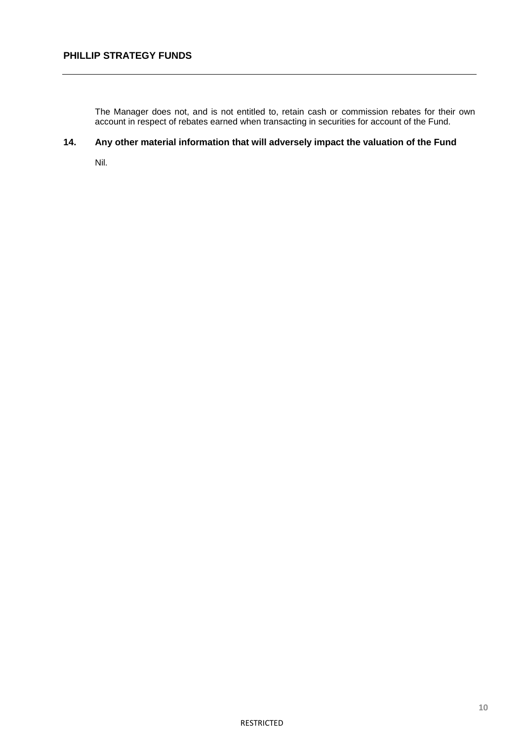The Manager does not, and is not entitled to, retain cash or commission rebates for their own account in respect of rebates earned when transacting in securities for account of the Fund.

# **14. Any other material information that will adversely impact the valuation of the Fund**

Nil.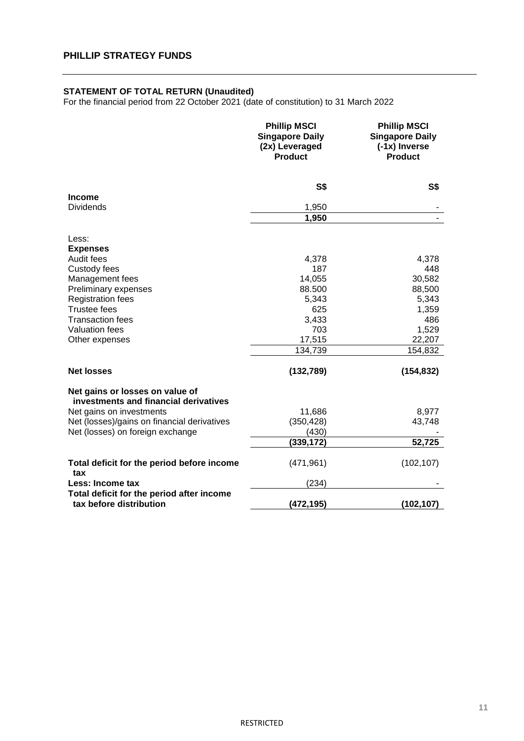#### **STATEMENT OF TOTAL RETURN (Unaudited)**

For the financial period from 22 October 2021 (date of constitution) to 31 March 2022

|                                                                          | <b>Phillip MSCI</b><br><b>Singapore Daily</b><br>(2x) Leveraged<br><b>Product</b> | <b>Phillip MSCI</b><br><b>Singapore Daily</b><br>(-1x) Inverse<br><b>Product</b> |
|--------------------------------------------------------------------------|-----------------------------------------------------------------------------------|----------------------------------------------------------------------------------|
|                                                                          | <b>S\$</b>                                                                        | S\$                                                                              |
| Income                                                                   |                                                                                   |                                                                                  |
| <b>Dividends</b>                                                         | 1,950<br>1,950                                                                    |                                                                                  |
| Less:                                                                    |                                                                                   |                                                                                  |
| <b>Expenses</b>                                                          |                                                                                   |                                                                                  |
| Audit fees                                                               | 4,378                                                                             | 4,378                                                                            |
| Custody fees                                                             | 187                                                                               | 448                                                                              |
| Management fees                                                          | 14,055                                                                            | 30,582                                                                           |
| Preliminary expenses                                                     | 88.500                                                                            | 88,500                                                                           |
| <b>Registration fees</b>                                                 | 5,343                                                                             | 5,343                                                                            |
| <b>Trustee fees</b>                                                      | 625                                                                               | 1,359                                                                            |
| <b>Transaction fees</b>                                                  | 3,433                                                                             | 486                                                                              |
| <b>Valuation fees</b>                                                    | 703                                                                               | 1,529                                                                            |
| Other expenses                                                           | 17,515                                                                            | 22,207                                                                           |
|                                                                          | 134,739                                                                           | 154,832                                                                          |
| <b>Net losses</b>                                                        | (132, 789)                                                                        | (154, 832)                                                                       |
| Net gains or losses on value of<br>investments and financial derivatives |                                                                                   |                                                                                  |
| Net gains on investments                                                 | 11,686                                                                            | 8,977                                                                            |
| Net (losses)/gains on financial derivatives                              | (350, 428)                                                                        | 43,748                                                                           |
| Net (losses) on foreign exchange                                         | (430)                                                                             |                                                                                  |
|                                                                          | (339, 172)                                                                        | 52,725                                                                           |
| Total deficit for the period before income<br>tax                        | (471, 961)                                                                        | (102, 107)                                                                       |
| Less: Income tax                                                         | (234)                                                                             |                                                                                  |
| Total deficit for the period after income<br>tax before distribution     | (472, 195)                                                                        | (102, 107)                                                                       |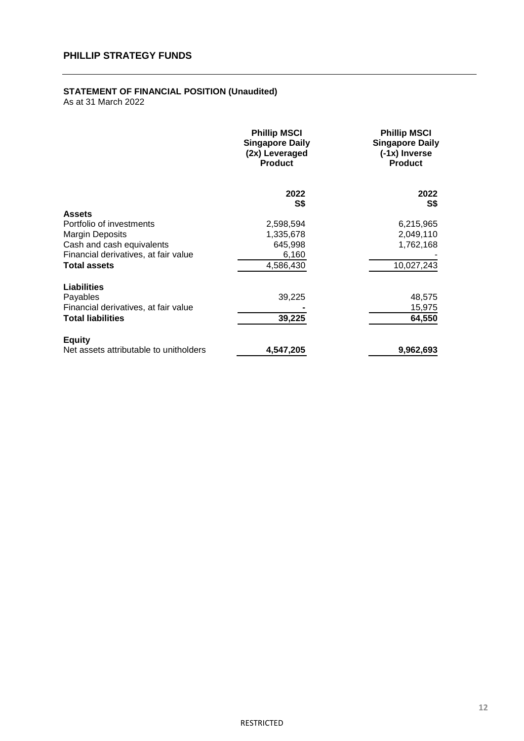#### **STATEMENT OF FINANCIAL POSITION (Unaudited)**

|                                        | <b>Phillip MSCI</b><br><b>Singapore Daily</b><br>(2x) Leveraged<br><b>Product</b> | <b>Phillip MSCI</b><br><b>Singapore Daily</b><br>(-1x) Inverse<br><b>Product</b> |
|----------------------------------------|-----------------------------------------------------------------------------------|----------------------------------------------------------------------------------|
|                                        | 2022<br>S\$                                                                       | 2022<br>S\$                                                                      |
| <b>Assets</b>                          |                                                                                   |                                                                                  |
| Portfolio of investments               | 2,598,594                                                                         | 6,215,965                                                                        |
| <b>Margin Deposits</b>                 | 1,335,678                                                                         | 2,049,110                                                                        |
| Cash and cash equivalents              | 645,998                                                                           | 1,762,168                                                                        |
| Financial derivatives, at fair value   | 6,160                                                                             |                                                                                  |
| <b>Total assets</b>                    | 4,586,430                                                                         | 10,027,243                                                                       |
| <b>Liabilities</b>                     |                                                                                   |                                                                                  |
| Payables                               | 39,225                                                                            | 48,575                                                                           |
| Financial derivatives, at fair value   |                                                                                   | 15,975                                                                           |
| <b>Total liabilities</b>               | 39,225                                                                            | 64,550                                                                           |
| <b>Equity</b>                          |                                                                                   |                                                                                  |
| Net assets attributable to unitholders | 4,547,205                                                                         | 9,962,693                                                                        |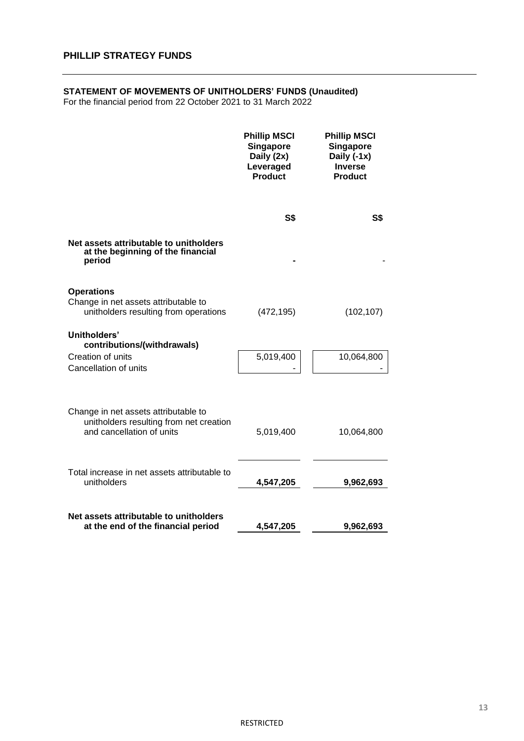#### **STATEMENT OF MOVEMENTS OF UNITHOLDERS' FUNDS (Unaudited)**

For the financial period from 22 October 2021 to 31 March 2022

|                                                                                                              | <b>Phillip MSCI</b><br><b>Singapore</b><br>Daily (2x)<br>Leveraged<br><b>Product</b> | <b>Phillip MSCI</b><br><b>Singapore</b><br>Daily (-1x)<br><b>Inverse</b><br><b>Product</b> |
|--------------------------------------------------------------------------------------------------------------|--------------------------------------------------------------------------------------|--------------------------------------------------------------------------------------------|
|                                                                                                              | <b>S\$</b>                                                                           | <b>S\$</b>                                                                                 |
| Net assets attributable to unitholders<br>at the beginning of the financial<br>period                        |                                                                                      |                                                                                            |
| <b>Operations</b><br>Change in net assets attributable to<br>unitholders resulting from operations           | (472, 195)                                                                           | (102, 107)                                                                                 |
| Unitholders'<br>contributions/(withdrawals)<br>Creation of units<br>Cancellation of units                    | 5,019,400                                                                            | 10,064,800                                                                                 |
| Change in net assets attributable to<br>unitholders resulting from net creation<br>and cancellation of units | 5,019,400                                                                            | 10,064,800                                                                                 |
| Total increase in net assets attributable to<br>unitholders                                                  | 4,547,205                                                                            | 9,962,693                                                                                  |
| Net assets attributable to unitholders<br>at the end of the financial period                                 | 4,547,205                                                                            | 9,962,693                                                                                  |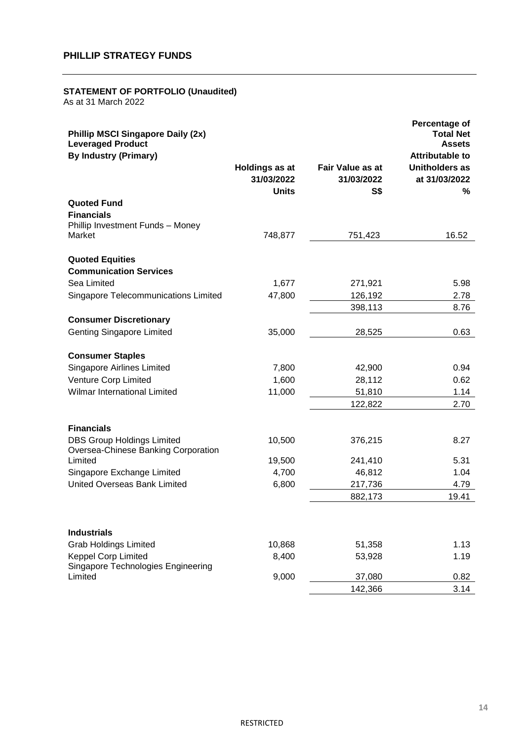#### **STATEMENT OF PORTFOLIO (Unaudited)**

| <b>Phillip MSCI Singapore Daily (2x)</b><br><b>Leveraged Product</b>        |                                              |                                              | Percentage of<br><b>Total Net</b><br><b>Assets</b> |
|-----------------------------------------------------------------------------|----------------------------------------------|----------------------------------------------|----------------------------------------------------|
| <b>By Industry (Primary)</b>                                                |                                              |                                              | <b>Attributable to</b>                             |
|                                                                             | Holdings as at<br>31/03/2022<br><b>Units</b> | <b>Fair Value as at</b><br>31/03/2022<br>S\$ | <b>Unitholders as</b><br>at 31/03/2022<br>%        |
| <b>Quoted Fund</b><br><b>Financials</b><br>Phillip Investment Funds - Money |                                              |                                              |                                                    |
| Market                                                                      | 748,877                                      | 751,423                                      | 16.52                                              |
| <b>Quoted Equities</b><br><b>Communication Services</b>                     |                                              |                                              |                                                    |
| Sea Limited                                                                 | 1,677                                        | 271,921                                      | 5.98                                               |
| Singapore Telecommunications Limited                                        | 47,800                                       | 126,192                                      | 2.78                                               |
|                                                                             |                                              | 398,113                                      | 8.76                                               |
| <b>Consumer Discretionary</b>                                               |                                              |                                              |                                                    |
| <b>Genting Singapore Limited</b>                                            | 35,000                                       | 28,525                                       | 0.63                                               |
| <b>Consumer Staples</b>                                                     |                                              |                                              |                                                    |
| Singapore Airlines Limited                                                  | 7,800                                        | 42,900                                       | 0.94                                               |
| Venture Corp Limited                                                        | 1,600                                        | 28,112                                       | 0.62                                               |
| <b>Wilmar International Limited</b>                                         | 11,000                                       | 51,810                                       | 1.14                                               |
|                                                                             |                                              | 122,822                                      | 2.70                                               |
| <b>Financials</b>                                                           |                                              |                                              |                                                    |
| <b>DBS Group Holdings Limited</b><br>Oversea-Chinese Banking Corporation    | 10,500                                       | 376,215                                      | 8.27                                               |
| Limited                                                                     | 19,500                                       | 241,410                                      | 5.31                                               |
| Singapore Exchange Limited                                                  | 4,700                                        | 46,812                                       | 1.04                                               |
| United Overseas Bank Limited                                                | 6,800                                        | 217,736                                      | 4.79                                               |
|                                                                             |                                              | 882,173                                      | 19.41                                              |
| <b>Industrials</b>                                                          |                                              |                                              |                                                    |
| <b>Grab Holdings Limited</b>                                                | 10,868                                       | 51,358                                       | 1.13                                               |
| <b>Keppel Corp Limited</b>                                                  | 8,400                                        | 53,928                                       | 1.19                                               |
| Singapore Technologies Engineering                                          |                                              |                                              |                                                    |
| Limited                                                                     | 9,000                                        | 37,080                                       | 0.82                                               |
|                                                                             |                                              | 142,366                                      | 3.14                                               |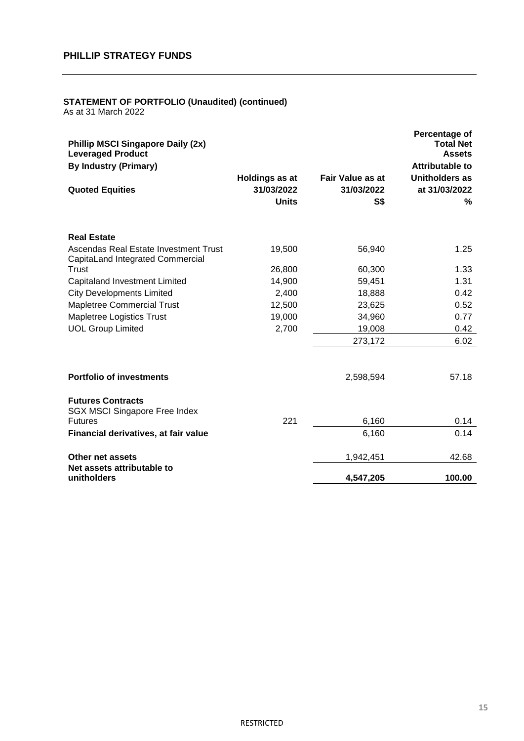# **STATEMENT OF PORTFOLIO (Unaudited) (continued)**

| <b>Phillip MSCI Singapore Daily (2x)</b><br><b>Leveraged Product</b><br><b>By Industry (Primary)</b> |                                                     |                                              | Percentage of<br><b>Total Net</b><br><b>Assets</b><br><b>Attributable to</b> |
|------------------------------------------------------------------------------------------------------|-----------------------------------------------------|----------------------------------------------|------------------------------------------------------------------------------|
| <b>Quoted Equities</b>                                                                               | <b>Holdings as at</b><br>31/03/2022<br><b>Units</b> | Fair Value as at<br>31/03/2022<br><b>S\$</b> | <b>Unitholders as</b><br>at 31/03/2022<br>%                                  |
| <b>Real Estate</b>                                                                                   |                                                     |                                              |                                                                              |
| Ascendas Real Estate Investment Trust<br>CapitaLand Integrated Commercial                            | 19,500                                              | 56,940                                       | 1.25                                                                         |
| Trust                                                                                                | 26,800                                              | 60,300                                       | 1.33                                                                         |
| Capitaland Investment Limited                                                                        | 14,900                                              | 59,451                                       | 1.31                                                                         |
| <b>City Developments Limited</b>                                                                     | 2,400                                               | 18,888                                       | 0.42                                                                         |
| <b>Mapletree Commercial Trust</b>                                                                    | 12,500                                              | 23,625                                       | 0.52                                                                         |
| Mapletree Logistics Trust                                                                            | 19,000                                              | 34,960                                       | 0.77                                                                         |
| <b>UOL Group Limited</b>                                                                             | 2,700                                               | 19,008                                       | 0.42                                                                         |
|                                                                                                      |                                                     | 273,172                                      | 6.02                                                                         |
| <b>Portfolio of investments</b>                                                                      |                                                     | 2,598,594                                    | 57.18                                                                        |
| <b>Futures Contracts</b><br><b>SGX MSCI Singapore Free Index</b><br><b>Futures</b>                   | 221                                                 | 6,160                                        | 0.14                                                                         |
|                                                                                                      |                                                     |                                              |                                                                              |
| Financial derivatives, at fair value                                                                 |                                                     | 6,160                                        | 0.14                                                                         |
| Other net assets<br>Net assets attributable to                                                       |                                                     | 1,942,451                                    | 42.68                                                                        |
| unitholders                                                                                          |                                                     | 4,547,205                                    | 100.00                                                                       |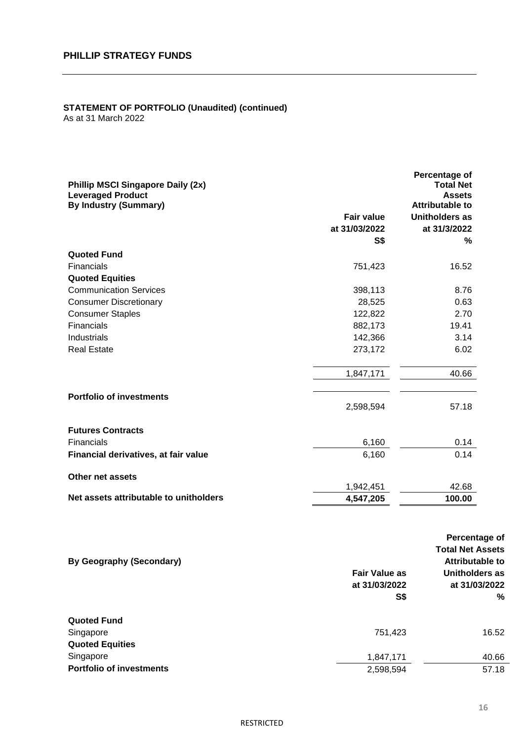# **STATEMENT OF PORTFOLIO (Unaudited) (continued)**

| <b>Phillip MSCI Singapore Daily (2x)</b><br><b>Leveraged Product</b><br><b>By Industry (Summary)</b> |                   | Percentage of<br><b>Total Net</b><br><b>Assets</b><br><b>Attributable to</b> |
|------------------------------------------------------------------------------------------------------|-------------------|------------------------------------------------------------------------------|
|                                                                                                      | <b>Fair value</b> | Unitholders as                                                               |
|                                                                                                      | at 31/03/2022     | at 31/3/2022                                                                 |
|                                                                                                      | S\$               | %                                                                            |
| <b>Quoted Fund</b>                                                                                   |                   |                                                                              |
| <b>Financials</b>                                                                                    | 751,423           | 16.52                                                                        |
| <b>Quoted Equities</b>                                                                               |                   |                                                                              |
| <b>Communication Services</b>                                                                        | 398,113           | 8.76                                                                         |
| <b>Consumer Discretionary</b>                                                                        | 28,525            | 0.63                                                                         |
| <b>Consumer Staples</b>                                                                              | 122,822           | 2.70                                                                         |
| Financials                                                                                           | 882,173           | 19.41                                                                        |
| Industrials                                                                                          | 142,366           | 3.14                                                                         |
| <b>Real Estate</b>                                                                                   | 273,172           | 6.02                                                                         |
|                                                                                                      | 1,847,171         | 40.66                                                                        |
| <b>Portfolio of investments</b>                                                                      | 2,598,594         | 57.18                                                                        |
| <b>Futures Contracts</b>                                                                             |                   |                                                                              |
| Financials                                                                                           | 6,160             | 0.14                                                                         |
| Financial derivatives, at fair value                                                                 | 6,160             | 0.14                                                                         |
| Other net assets                                                                                     |                   |                                                                              |
|                                                                                                      | 1,942,451         | 42.68                                                                        |
| Net assets attributable to unitholders                                                               | 4,547,205         | 100.00                                                                       |
|                                                                                                      |                   | Percentage of<br><b>Total Net Assets</b><br>Addullation of the late          |

| <b>By Geography (Secondary)</b> | <b>Fair Value as</b><br>at 31/03/2022<br>S\$ | Attributable to<br>Unitholders as<br>at 31/03/2022<br>% |
|---------------------------------|----------------------------------------------|---------------------------------------------------------|
| <b>Quoted Fund</b>              |                                              |                                                         |
| Singapore                       | 751,423                                      | 16.52                                                   |
| <b>Quoted Equities</b>          |                                              |                                                         |
| Singapore                       | 1,847,171                                    | 40.66                                                   |
| <b>Portfolio of investments</b> | 2,598,594                                    | 57.18                                                   |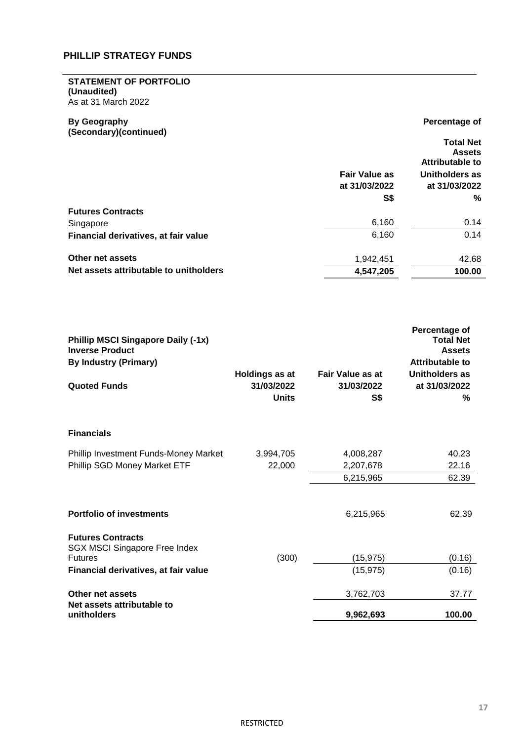#### **STATEMENT OF PORTFOLIO (Unaudited)** As at 31 March 2022

**By Geography (Secondary)(continued)**

# **Percentage of Total Net Assets**

|                                        |                                       | A33613<br><b>Attributable to</b> |
|----------------------------------------|---------------------------------------|----------------------------------|
|                                        | <b>Fair Value as</b><br>at 31/03/2022 | Unitholders as<br>at 31/03/2022  |
|                                        | S\$                                   | %                                |
| <b>Futures Contracts</b>               |                                       |                                  |
| Singapore                              | 6,160                                 | 0.14                             |
| Financial derivatives, at fair value   | 6,160                                 | 0.14                             |
| Other net assets                       | 1,942,451                             | 42.68                            |
| Net assets attributable to unitholders | 4,547,205                             | 100.00                           |

| <b>Phillip MSCI Singapore Daily (-1x)</b><br><b>Inverse Product</b><br><b>By Industry (Primary)</b><br><b>Quoted Funds</b> | <b>Holdings as at</b><br>31/03/2022 | <b>Fair Value as at</b><br>31/03/2022 | Percentage of<br><b>Total Net</b><br><b>Assets</b><br><b>Attributable to</b><br>Unitholders as<br>at 31/03/2022 |
|----------------------------------------------------------------------------------------------------------------------------|-------------------------------------|---------------------------------------|-----------------------------------------------------------------------------------------------------------------|
|                                                                                                                            | <b>Units</b>                        | S\$                                   | %                                                                                                               |
| <b>Financials</b>                                                                                                          |                                     |                                       |                                                                                                                 |
| Phillip Investment Funds-Money Market                                                                                      | 3,994,705                           | 4,008,287                             | 40.23                                                                                                           |
| Phillip SGD Money Market ETF                                                                                               | 22,000                              | 2,207,678                             | 22.16                                                                                                           |
|                                                                                                                            |                                     | 6,215,965                             | 62.39                                                                                                           |
| <b>Portfolio of investments</b>                                                                                            |                                     | 6,215,965                             | 62.39                                                                                                           |
| <b>Futures Contracts</b><br><b>SGX MSCI Singapore Free Index</b>                                                           |                                     |                                       |                                                                                                                 |
| <b>Futures</b>                                                                                                             | (300)                               | (15, 975)                             | (0.16)                                                                                                          |
| Financial derivatives, at fair value                                                                                       |                                     | (15, 975)                             | (0.16)                                                                                                          |
| Other net assets                                                                                                           |                                     | 3,762,703                             | 37.77                                                                                                           |
| Net assets attributable to<br>unitholders                                                                                  |                                     | 9,962,693                             | 100.00                                                                                                          |